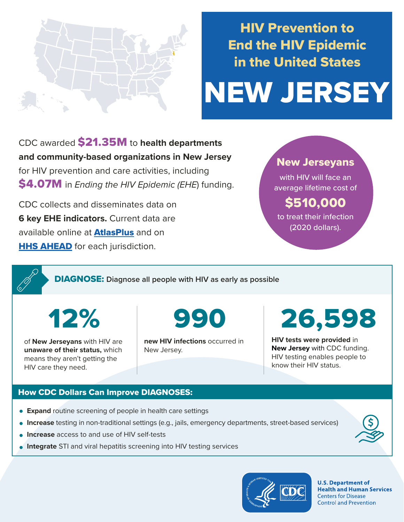

# HIV Prevention to End the HIV Epidemic in the United States

# NEW JERSEY

CDC awarded \$21.35M to **health departments and community-based organizations in New Jersey**  for HIV prevention and care activities, including \$4.07M in *Ending the HIV Epidemic (EHE*) funding.

CDC collects and disseminates data on **6 key EHE indicators.** Current data are available online at **[AtlasPlus](https://www.cdc.gov/nchhstp/atlas/index.htm)** and on **[HHS AHEAD](https://ahead.hiv.gov/)** for each jurisdiction.

### New Jerseyans

with HIV will face an average lifetime cost of

## \$510,000

to treat their infection (2020 dollars).

DIAGNOSE: **Diagnose all people with HIV as early as possible** 

12%

of **New Jerseyans** with HIV are **unaware of their status,** which means they aren't getting the HIV care they need.

990

**new HIV infections** occurred in New Jersey.

26,598

**HIV tests were provided** in **New Jersey** with CDC funding. HIV testing enables people to know their HIV status.

#### How CDC Dollars Can Improve DIAGNOSES:

- **Expand** routine screening of people in health care settings
- **Increase** testing in non-traditional settings (e.g., jails, emergency departments, street-based services)
- **Increase** access to and use of HIV self-tests
- **Integrate** STI and viral hepatitis screening into HIV testing services



**U.S. Department of Health and Human Services Centers for Disease Control and Prevention**